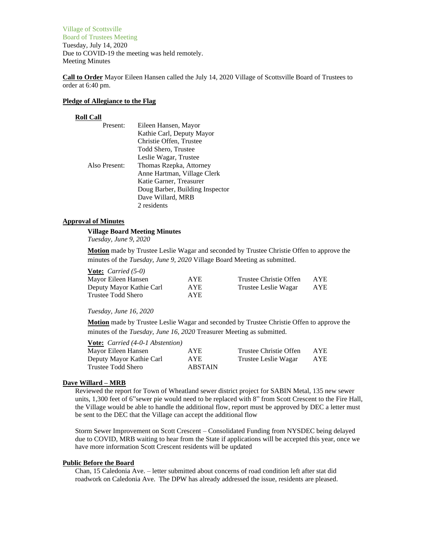Village of Scottsville Board of Trustees Meeting Tuesday, July 14, 2020 Due to COVID-19 the meeting was held remotely. Meeting Minutes

**Call to Order** Mayor Eileen Hansen called the July 14, 2020 Village of Scottsville Board of Trustees to order at 6:40 pm.

### **Pledge of Allegiance to the Flag**

### **Roll Call**

| Present:      | Eileen Hansen, Mayor            |
|---------------|---------------------------------|
|               | Kathie Carl, Deputy Mayor       |
|               | Christie Offen, Trustee         |
|               | Todd Shero, Trustee             |
|               | Leslie Wagar, Trustee           |
| Also Present: | Thomas Rzepka, Attorney         |
|               | Anne Hartman, Village Clerk     |
|               | Katie Garner, Treasurer         |
|               | Doug Barber, Building Inspector |
|               | Dave Willard, MRB               |
|               | 2 residents                     |

# **Approval of Minutes**

# **Village Board Meeting Minutes**

*Tuesday, June 9, 2020*

**Motion** made by Trustee Leslie Wagar and seconded by Trustee Christie Offen to approve the minutes of the *Tuesday, June 9, 2020* Village Board Meeting as submitted.

| <b>Vote:</b> <i>Carried</i> $(5-0)$ |            |                        |      |
|-------------------------------------|------------|------------------------|------|
| Mayor Eileen Hansen                 | AYE.       | Trustee Christie Offen | AYE. |
| Deputy Mayor Kathie Carl            | <b>AYE</b> | Trustee Leslie Wagar   | AYE  |
| Trustee Todd Shero                  | AYE.       |                        |      |

#### *Tuesday, June 16, 2020*

**Motion** made by Trustee Leslie Wagar and seconded by Trustee Christie Offen to approve the minutes of the *Tuesday, June 16, 2020* Treasurer Meeting as submitted.

| <b>Vote:</b> <i>Carried</i> (4-0-1 <i>Abstention</i> ) |                |                        |            |
|--------------------------------------------------------|----------------|------------------------|------------|
| Mayor Eileen Hansen                                    | <b>AYE</b>     | Trustee Christie Offen | <b>AYE</b> |
| Deputy Mayor Kathie Carl                               | <b>AYE</b>     | Trustee Leslie Wagar   | AYE        |
| Trustee Todd Shero                                     | <b>ABSTAIN</b> |                        |            |

# **Dave Willard – MRB**

Reviewed the report for Town of Wheatland sewer district project for SABIN Metal, 135 new sewer units, 1,300 feet of 6"sewer pie would need to be replaced with 8" from Scott Crescent to the Fire Hall, the Village would be able to handle the additional flow, report must be approved by DEC a letter must be sent to the DEC that the Village can accept the additional flow

Storm Sewer Improvement on Scott Crescent – Consolidated Funding from NYSDEC being delayed due to COVID, MRB waiting to hear from the State if applications will be accepted this year, once we have more information Scott Crescent residents will be updated

### **Public Before the Board**

Chan, 15 Caledonia Ave. – letter submitted about concerns of road condition left after stat did roadwork on Caledonia Ave. The DPW has already addressed the issue, residents are pleased.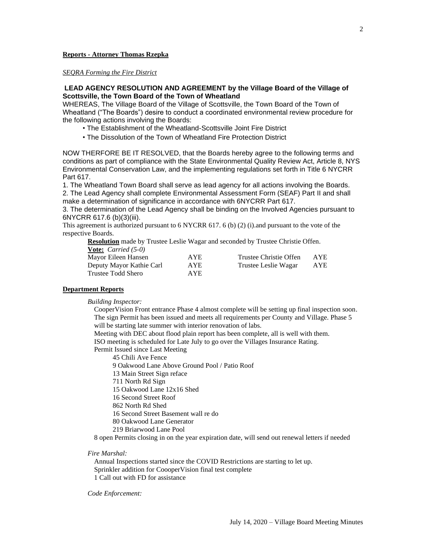### **Reports - Attorney Thomas Rzepka**

*SEQRA Forming the Fire District*

### **LEAD AGENCY RESOLUTION AND AGREEMENT by the Village Board of the Village of Scottsville, the Town Board of the Town of Wheatland**

WHEREAS, The Village Board of the Village of Scottsville, the Town Board of the Town of Wheatland ("The Boards") desire to conduct a coordinated environmental review procedure for the following actions involving the Boards:

• The Establishment of the Wheatland-Scottsville Joint Fire District

• The Dissolution of the Town of Wheatland Fire Protection District

NOW THERFORE BE IT RESOLVED, that the Boards hereby agree to the following terms and conditions as part of compliance with the State Environmental Quality Review Act, Article 8, NYS Environmental Conservation Law, and the implementing regulations set forth in Title 6 NYCRR Part 617.

1. The Wheatland Town Board shall serve as lead agency for all actions involving the Boards. 2. The Lead Agency shall complete Environmental Assessment Form (SEAF) Part II and shall make a determination of significance in accordance with 6NYCRR Part 617.

3. The determination of the Lead Agency shall be binding on the Involved Agencies pursuant to 6NYCRR 617.6 (b)(3)(iii).

This agreement is authorized pursuant to 6 NYCRR 617. 6 (b) (2) (i).and pursuant to the vote of the respective Boards.

**Resolution** made by Trustee Leslie Wagar and seconded by Trustee Christie Offen. **Vote:** *Carried (5-0)*

| Mayor Eileen Hansen      | AYE.       | Trustee Christie Offen | AYE |
|--------------------------|------------|------------------------|-----|
| Deputy Mayor Kathie Carl | <b>AYE</b> | Trustee Leslie Wagar   | AYE |
| Trustee Todd Shero       | AYE.       |                        |     |

#### **Department Reports**

*Building Inspector:*

CooperVision Front entrance Phase 4 almost complete will be setting up final inspection soon. The sign Permit has been issued and meets all requirements per County and Village. Phase 5 will be starting late summer with interior renovation of labs.

Meeting with DEC about flood plain report has been complete, all is well with them. ISO meeting is scheduled for Late July to go over the Villages Insurance Rating.

Permit Issued since Last Meeting

45 Chili Ave Fence

9 Oakwood Lane Above Ground Pool / Patio Roof

13 Main Street Sign reface

711 North Rd Sign

15 Oakwood Lane 12x16 Shed

16 Second Street Roof

862 North Rd Shed

16 Second Street Basement wall re do

80 Oakwood Lane Generator

219 Briarwood Lane Pool

8 open Permits closing in on the year expiration date, will send out renewal letters if needed

### *Fire Marshal:*

Annual Inspections started since the COVID Restrictions are starting to let up. Sprinkler addition for CoooperVision final test complete 1 Call out with FD for assistance

### *Code Enforcement:*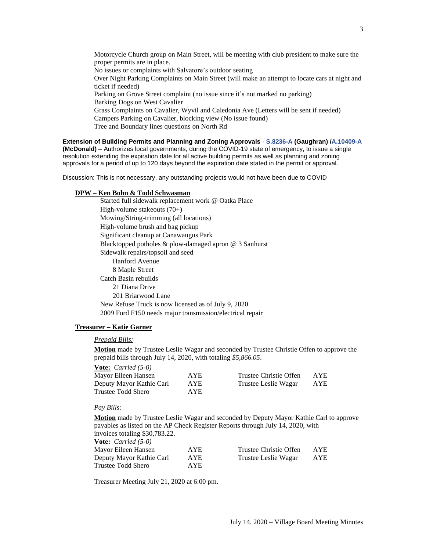Motorcycle Church group on Main Street, will be meeting with club president to make sure the proper permits are in place. No issues or complaints with Salvatore's outdoor seating Over Night Parking Complaints on Main Street (will make an attempt to locate cars at night and ticket if needed) Parking on Grove Street complaint (no issue since it's not marked no parking) Barking Dogs on West Cavalier Grass Complaints on Cavalier, Wyvil and Caledonia Ave (Letters will be sent if needed) Campers Parking on Cavalier, blocking view (No issue found) Tree and Boundary lines questions on North Rd

**Extension of Building Permits and Planning and Zoning Approvals** - **[S.8236-A](http://r20.rs6.net/tn.jsp?f=001K0U8O-9048Pc_81mQoAED77ulMNOW_cEj8qHOXoViZHhtHdt8pTRWIKYt6wSzTW0gDLc96LpCH2hTVqBv-kql0ONqeSdmgCytjA7ls_iCG73SQQxS9a2VncHEYY2Yt9VvX3OmyCNFiBMhOuOnFQ87_btE1671CngWUI_4Vu_ORLFA4EFQ4q2PHMDa-wedGe3qBInK2V-2OcN6YaLG4sYmw==&c=i2JyUnZSRXLpupvWo1TNzngXLWUODW_xecgLSUzrcp8vtS_o0_Xi1Q==&ch=ga9cwvE4HCX8aTq3zuyNuKGIlbYZhXs-QCYvenWkp51NXLXDc5LPjg==) (Gaughran) [/A.10409-A](http://r20.rs6.net/tn.jsp?f=001K0U8O-9048Pc_81mQoAED77ulMNOW_cEj8qHOXoViZHhtHdt8pTRWIKYt6wSzTW0xgP9tMqAWq6MOfvDNRmPAleljPulxj1xfHZUu7btOatkmAy_5uNRHsusTl6t_nkeHtfwcaVhnOZi9lv7cBRdVWNxCWgv91POCP0Z_Lj2v5SqVS6YkA-zEI_JLP50gVMO8RqfX7DtulOR5OePk5qfnzzny8lS_oWTLiKA4ibLZDYyTSUo7xkqqUSf7Ywh4J-9YyXUHtWBm8S7kufYbnADRotnZcRUKiw_-qA4phjdz4rGXm1V7SMVxfc2sWnXlGfWR9GXzwdvu6iwfljbwDLlzA==&c=i2JyUnZSRXLpupvWo1TNzngXLWUODW_xecgLSUzrcp8vtS_o0_Xi1Q==&ch=ga9cwvE4HCX8aTq3zuyNuKGIlbYZhXs-QCYvenWkp51NXLXDc5LPjg==) (McDonald)** – Authorizes local governments, during the COVID-19 state of emergency, to issue a single resolution extending the expiration date for all active building permits as well as planning and zoning approvals for a period of up to 120 days beyond the expiration date stated in the permit or approval.

Discussion: This is not necessary, any outstanding projects would not have been due to COVID

# **DPW – Ken Bohn & Todd Schwasman**

Started full sidewalk replacement work @ Oatka Place High-volume stakeouts (70+) Mowing/String-trimming (all locations) High-volume brush and bag pickup Significant cleanup at Canawaugus Park Blacktopped potholes & plow-damaged apron @ 3 Sanhurst Sidewalk repairs/topsoil and seed Hanford Avenue 8 Maple Street Catch Basin rebuilds 21 Diana Drive 201 Briarwood Lane New Refuse Truck is now licensed as of July 9, 2020 2009 Ford F150 needs major transmission/electrical repair

### **Treasurer – Katie Garner**

### *Prepaid Bills:*

**Motion** made by Trustee Leslie Wagar and seconded by Trustee Christie Offen to approve the prepaid bills through July 14, 2020, with totaling *\$5,866.05*.

| <b>Vote:</b> Carried (5-0) |      |                        |            |
|----------------------------|------|------------------------|------------|
| Mayor Eileen Hansen        | AYE  | Trustee Christie Offen | <b>AYE</b> |
| Deputy Mayor Kathie Carl   | AYE  | Trustee Leslie Wagar   | AYE        |
| Trustee Todd Shero         | AYE. |                        |            |

| Trustee Christie Offen | AYE        |
|------------------------|------------|
| Trustee Leslie Wagar   | <b>AYE</b> |

#### *Pay Bills:*

**Motion** made by Trustee Leslie Wagar and seconded by Deputy Mayor Kathie Carl to approve payables as listed on the AP Check Register Reports through July 14, 2020, with invoices totaling \$30,783.22.

| <b>Vote:</b> <i>Carried</i> $(5-0)$ |            |                        |            |
|-------------------------------------|------------|------------------------|------------|
| Mayor Eileen Hansen                 | <b>AYE</b> | Trustee Christie Offen | <b>AYE</b> |
| Deputy Mayor Kathie Carl            | <b>AYE</b> | Trustee Leslie Wagar   | <b>AYE</b> |
| Trustee Todd Shero                  | AYE.       |                        |            |

Treasurer Meeting July 21, 2020 at 6:00 pm.